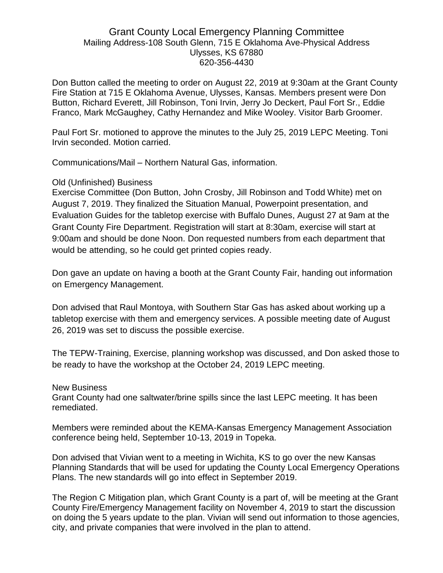## Grant County Local Emergency Planning Committee Mailing Address-108 South Glenn, 715 E Oklahoma Ave-Physical Address Ulysses, KS 67880 620-356-4430

Don Button called the meeting to order on August 22, 2019 at 9:30am at the Grant County Fire Station at 715 E Oklahoma Avenue, Ulysses, Kansas. Members present were Don Button, Richard Everett, Jill Robinson, Toni Irvin, Jerry Jo Deckert, Paul Fort Sr., Eddie Franco, Mark McGaughey, Cathy Hernandez and Mike Wooley. Visitor Barb Groomer.

Paul Fort Sr. motioned to approve the minutes to the July 25, 2019 LEPC Meeting. Toni Irvin seconded. Motion carried.

Communications/Mail – Northern Natural Gas, information.

## Old (Unfinished) Business

Exercise Committee (Don Button, John Crosby, Jill Robinson and Todd White) met on August 7, 2019. They finalized the Situation Manual, Powerpoint presentation, and Evaluation Guides for the tabletop exercise with Buffalo Dunes, August 27 at 9am at the Grant County Fire Department. Registration will start at 8:30am, exercise will start at 9:00am and should be done Noon. Don requested numbers from each department that would be attending, so he could get printed copies ready.

Don gave an update on having a booth at the Grant County Fair, handing out information on Emergency Management.

Don advised that Raul Montoya, with Southern Star Gas has asked about working up a tabletop exercise with them and emergency services. A possible meeting date of August 26, 2019 was set to discuss the possible exercise.

The TEPW-Training, Exercise, planning workshop was discussed, and Don asked those to be ready to have the workshop at the October 24, 2019 LEPC meeting.

New Business

Grant County had one saltwater/brine spills since the last LEPC meeting. It has been remediated.

Members were reminded about the KEMA-Kansas Emergency Management Association conference being held, September 10-13, 2019 in Topeka.

Don advised that Vivian went to a meeting in Wichita, KS to go over the new Kansas Planning Standards that will be used for updating the County Local Emergency Operations Plans. The new standards will go into effect in September 2019.

The Region C Mitigation plan, which Grant County is a part of, will be meeting at the Grant County Fire/Emergency Management facility on November 4, 2019 to start the discussion on doing the 5 years update to the plan. Vivian will send out information to those agencies, city, and private companies that were involved in the plan to attend.